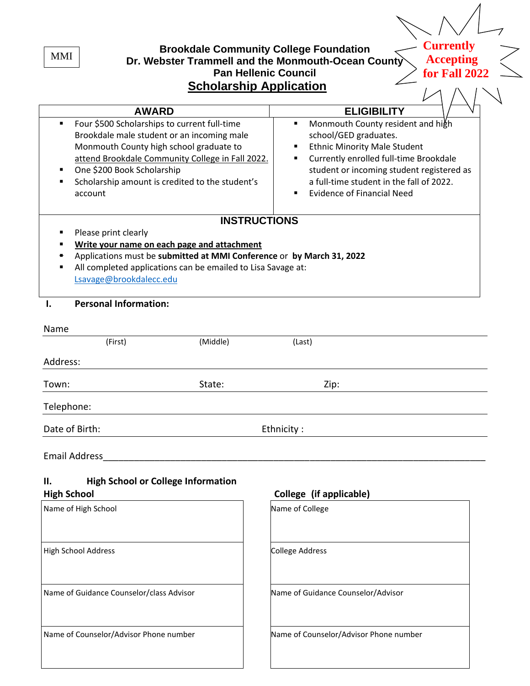**Brookdale Community College Foundation Dr. Webster Trammell and the Monmouth-Ocean County Pan Hellenic Council Scholarship Application AWARD ELIGIBILITY** ■ Four \$500 Scholarships to current full-time Brookdale male student or an incoming male Monmouth County high school graduate to attend Brookdale Community College in Fall 2022. One \$200 Book Scholarship Scholarship amount is credited to the student's account **■** Monmouth County resident and high school/GED graduates. **Ethnic Minority Male Student** Currently enrolled full-time Brookdale student or incoming student registered as a full-time student in the fall of 2022. **Evidence of Financial Need INSTRUCTIONS** Please print clearly **Write your name on each page and attachment** ▪ Applications must be **submitted at MMI Conference** or **by March 31, 2022** All completed applications can be emailed to Lisa Savage at: [Lsavage@brookdalecc.edu](mailto:Lsavage@brookdalecc.edu) **I. Personal Information:** Name (First) (Middle) (Last) Address: Town: Town: State: State: The State: The State: The State:  $\mathsf{Zip}\mathsf{:}\mathsf{Zip}\mathsf{:}\mathsf{Zip}\mathsf{:}\mathsf{Zip}\mathsf{:}\mathsf{Zip}\mathsf{:}\mathsf{Zip}\mathsf{:}\mathsf{Zip}\mathsf{:}\mathsf{Zip}\mathsf{:}\mathsf{Zip}\mathsf{:}\mathsf{Zip}\mathsf{:}\mathsf{Zip}\mathsf{:}\mathsf{Zip}\mathsf{:}\mathsf{Zip}\mathsf{:}\mathsf{Zip}\mathsf{:}\mathsf{Zip}\mathsf{:}\mathsf{Zip}\mathsf{:}\math$ Telephone: **Currently Accepting for Fall 2022** MMI

Date of Birth: Ethnicity :

Email Address\_\_\_\_\_\_\_\_\_\_\_\_\_\_\_\_\_\_\_\_\_\_\_\_\_\_\_\_\_\_\_\_\_\_\_\_\_\_\_\_\_\_\_\_\_\_\_\_\_\_\_\_\_\_\_\_\_\_\_\_\_\_\_\_\_\_\_\_\_\_\_\_\_\_

| Ш.                 | <b>High School or College Information</b> |                         |
|--------------------|-------------------------------------------|-------------------------|
| <b>High School</b> |                                           | College (if applicable) |

| Name of High School                      | Name of College                        |
|------------------------------------------|----------------------------------------|
| <b>High School Address</b>               | <b>College Address</b>                 |
| Name of Guidance Counselor/class Advisor | Name of Guidance Counselor/Advisor     |
| Name of Counselor/Advisor Phone number   | Name of Counselor/Advisor Phone number |